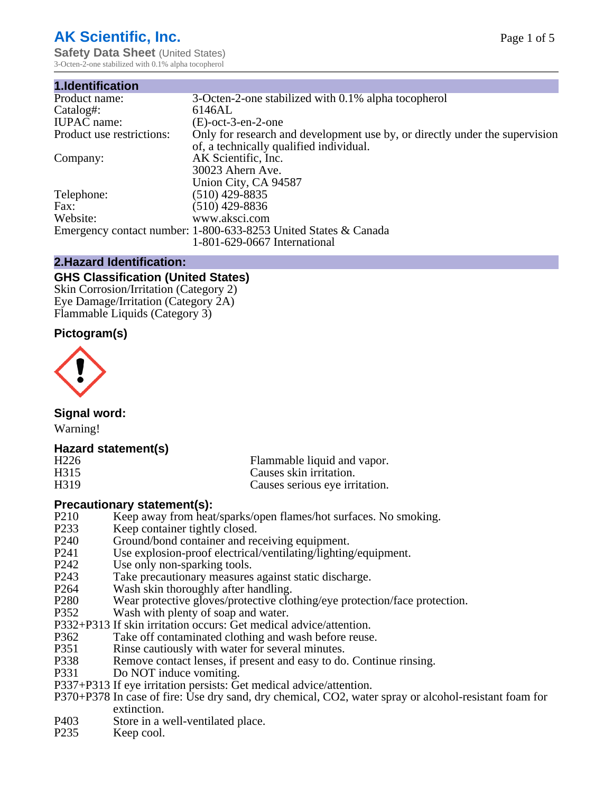# **AK Scientific, Inc.**

**Safety Data Sheet** (United States) 3-Octen-2-one stabilized with 0.1% alpha tocopherol

| 1.Identification          |                                                                                                                        |
|---------------------------|------------------------------------------------------------------------------------------------------------------------|
| Product name:             | 3-Octen-2-one stabilized with 0.1% alpha tocopherol                                                                    |
| Catalog#:                 | 6146AL                                                                                                                 |
| <b>IUPAC</b> name:        | $(E)$ -oct-3-en-2-one                                                                                                  |
| Product use restrictions: | Only for research and development use by, or directly under the supervision<br>of, a technically qualified individual. |
| Company:                  | AK Scientific, Inc.<br>30023 Ahern Ave.<br>Union City, CA 94587                                                        |
| Telephone:                | $(510)$ 429-8835                                                                                                       |
| Fax:                      | (510) 429-8836                                                                                                         |
| Website:                  | www.aksci.com                                                                                                          |
|                           | Emergency contact number: 1-800-633-8253 United States & Canada<br>1-801-629-0667 International                        |

## **2.Hazard Identification:**

# **GHS Classification (United States)**

Skin Corrosion/Irritation (Category 2) Eye Damage/Irritation (Category 2A) Flammable Liquids (Category 3)

## **Pictogram(s)**



## **Signal word:**

Warning!

## **Hazard statement(s)**

| H <sub>226</sub>  | Flammable liquid and vapor.    |
|-------------------|--------------------------------|
| H315              | Causes skin irritation.        |
| H <sub>3</sub> 19 | Causes serious eye irritation. |

## **Precautionary statement(s):**

- P210 Keep away from heat/sparks/open flames/hot surfaces. No smoking.<br>P233 Keep container tightly closed.
- P233 Keep container tightly closed.<br>P240 Ground/bond container and rec
- Ground/bond container and receiving equipment.
- P241 Use explosion-proof electrical/ventilating/lighting/equipment.<br>P242 Use only non-sparking tools
- Use only non-sparking tools.
- P243 Take precautionary measures against static discharge.<br>P264 Wash skin thoroughly after handling.
- P264 Wash skin thoroughly after handling.<br>P280 Wear protective gloves/protective clo
- P280 Wear protective gloves/protective clothing/eye protection/face protection.<br>P352 Wash with plenty of soap and water.
- Wash with plenty of soap and water.
- P332+P313 If skin irritation occurs: Get medical advice/attention.
- P362 Take off contaminated clothing and wash before reuse.<br>P351 Rinse cautiously with water for several minutes.
- P351 Rinse cautiously with water for several minutes.<br>P338 Remove contact lenses, if present and easy to do
- P338 Remove contact lenses, if present and easy to do. Continue rinsing.<br>P331 Do NOT induce vomiting.
- Do NOT induce vomiting.
- P337+P313 If eye irritation persists: Get medical advice/attention.
- P370+P378 In case of fire: Use dry sand, dry chemical, CO2, water spray or alcohol-resistant foam for extinction.
- P403 Store in a well-ventilated place.<br>P235 Keep cool.
- Keep cool.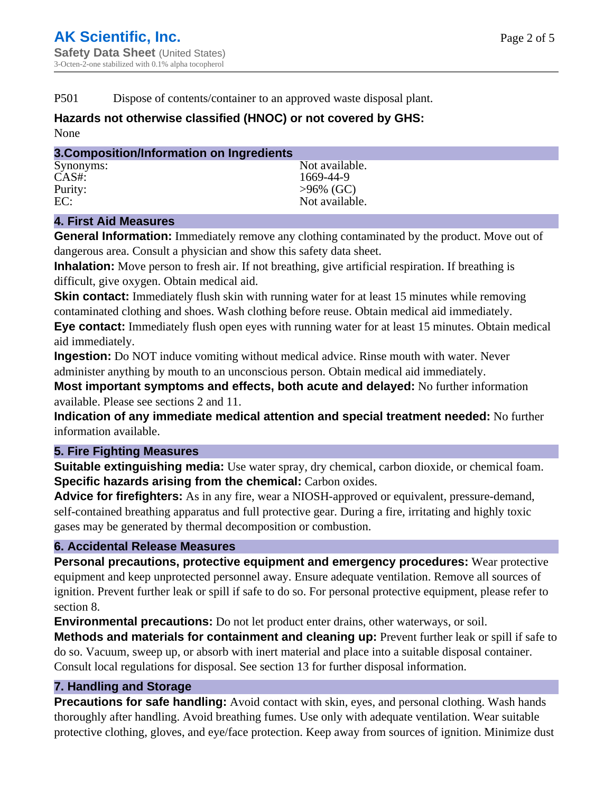P501 Dispose of contents/container to an approved waste disposal plant.

# **Hazards not otherwise classified (HNOC) or not covered by GHS:**

None

| 3. Composition/Information on Ingredients |                |  |  |
|-------------------------------------------|----------------|--|--|
| Synonyms:                                 | Not available. |  |  |
| $CAS#$ :                                  | 1669-44-9      |  |  |
| Purity:                                   | $>96\%$ (GC)   |  |  |
| EC:                                       | Not available. |  |  |
|                                           |                |  |  |

# **4. First Aid Measures**

**General Information:** Immediately remove any clothing contaminated by the product. Move out of dangerous area. Consult a physician and show this safety data sheet.

**Inhalation:** Move person to fresh air. If not breathing, give artificial respiration. If breathing is difficult, give oxygen. Obtain medical aid.

**Skin contact:** Immediately flush skin with running water for at least 15 minutes while removing contaminated clothing and shoes. Wash clothing before reuse. Obtain medical aid immediately. **Eye contact:** Immediately flush open eyes with running water for at least 15 minutes. Obtain medical aid immediately.

**Ingestion:** Do NOT induce vomiting without medical advice. Rinse mouth with water. Never administer anything by mouth to an unconscious person. Obtain medical aid immediately.

**Most important symptoms and effects, both acute and delayed:** No further information available. Please see sections 2 and 11.

**Indication of any immediate medical attention and special treatment needed:** No further information available.

## **5. Fire Fighting Measures**

**Suitable extinguishing media:** Use water spray, dry chemical, carbon dioxide, or chemical foam. **Specific hazards arising from the chemical:** Carbon oxides.

**Advice for firefighters:** As in any fire, wear a NIOSH-approved or equivalent, pressure-demand, self-contained breathing apparatus and full protective gear. During a fire, irritating and highly toxic gases may be generated by thermal decomposition or combustion.

## **6. Accidental Release Measures**

**Personal precautions, protective equipment and emergency procedures:** Wear protective equipment and keep unprotected personnel away. Ensure adequate ventilation. Remove all sources of ignition. Prevent further leak or spill if safe to do so. For personal protective equipment, please refer to section 8.

**Environmental precautions:** Do not let product enter drains, other waterways, or soil.

**Methods and materials for containment and cleaning up:** Prevent further leak or spill if safe to do so. Vacuum, sweep up, or absorb with inert material and place into a suitable disposal container. Consult local regulations for disposal. See section 13 for further disposal information.

## **7. Handling and Storage**

**Precautions for safe handling:** Avoid contact with skin, eyes, and personal clothing. Wash hands thoroughly after handling. Avoid breathing fumes. Use only with adequate ventilation. Wear suitable protective clothing, gloves, and eye/face protection. Keep away from sources of ignition. Minimize dust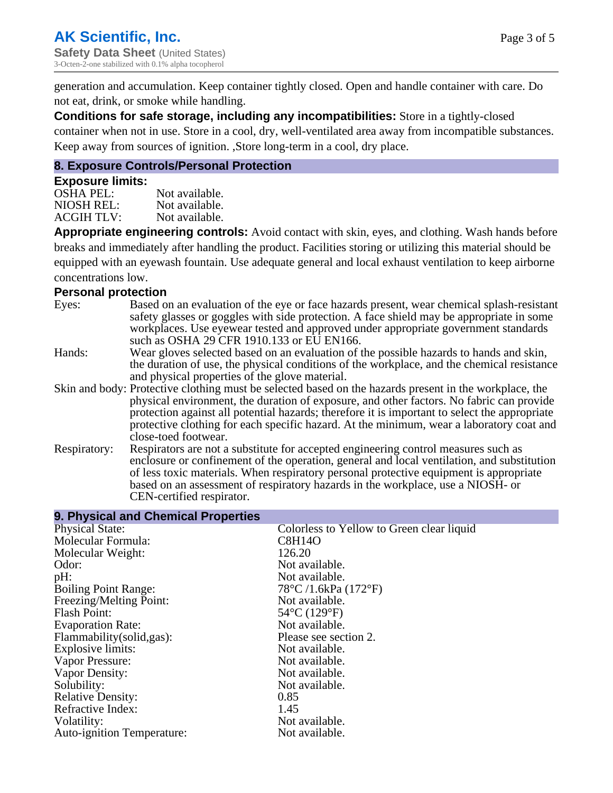generation and accumulation. Keep container tightly closed. Open and handle container with care. Do not eat, drink, or smoke while handling.

**Conditions for safe storage, including any incompatibilities:** Store in a tightly-closed container when not in use. Store in a cool, dry, well-ventilated area away from incompatible substances. Keep away from sources of ignition. ,Store long-term in a cool, dry place.

#### **8. Exposure Controls/Personal Protection**

#### **Exposure limits:**

| Not available. |
|----------------|
| Not available. |
| Not available. |
|                |

**Appropriate engineering controls:** Avoid contact with skin, eyes, and clothing. Wash hands before breaks and immediately after handling the product. Facilities storing or utilizing this material should be equipped with an eyewash fountain. Use adequate general and local exhaust ventilation to keep airborne concentrations low.

#### **Personal protection**

| Eyes:        | Based on an evaluation of the eye or face hazards present, wear chemical splash-resistant<br>safety glasses or goggles with side protection. A face shield may be appropriate in some<br>workplaces. Use eyewear tested and approved under appropriate government standards<br>such as OSHA 29 CFR 1910.133 or EU EN166.                                                                                                |
|--------------|-------------------------------------------------------------------------------------------------------------------------------------------------------------------------------------------------------------------------------------------------------------------------------------------------------------------------------------------------------------------------------------------------------------------------|
| Hands:       | Wear gloves selected based on an evaluation of the possible hazards to hands and skin,<br>the duration of use, the physical conditions of the workplace, and the chemical resistance<br>and physical properties of the glove material.                                                                                                                                                                                  |
|              | Skin and body: Protective clothing must be selected based on the hazards present in the workplace, the<br>physical environment, the duration of exposure, and other factors. No fabric can provide<br>protection against all potential hazards; therefore it is important to select the appropriate<br>protective clothing for each specific hazard. At the minimum, wear a laboratory coat and<br>close-toed footwear. |
| Respiratory: | Respirators are not a substitute for accepted engineering control measures such as<br>enclosure or confinement of the operation, general and local ventilation, and substitution<br>of less toxic materials. When respiratory personal protective equipment is appropriate<br>based on an assessment of respiratory hazards in the workplace, use a NIOSH- or<br>CEN-certified respirator.                              |

| 9. Physical and Chemical Properties |                                           |
|-------------------------------------|-------------------------------------------|
| <b>Physical State:</b>              | Colorless to Yellow to Green clear liquid |
| Molecular Formula:                  | <b>C8H14O</b>                             |
| Molecular Weight:                   | 126.20                                    |
| Odor:                               | Not available.                            |
| pH:                                 | Not available.                            |
| <b>Boiling Point Range:</b>         | $78^{\circ}$ C /1.6kPa (172 $^{\circ}$ F) |
| Freezing/Melting Point:             | Not available.                            |
| <b>Flash Point:</b>                 | 54°C (129°F)                              |
| <b>Evaporation Rate:</b>            | Not available.                            |
| Flammability(solid,gas):            | Please see section 2.                     |
| Explosive limits:                   | Not available.                            |
| Vapor Pressure:                     | Not available.                            |
| Vapor Density:                      | Not available.                            |
| Solubility:                         | Not available.                            |
| <b>Relative Density:</b>            | 0.85                                      |
| Refractive Index:                   | 1.45                                      |
| Volatility:                         | Not available.                            |
| Auto-ignition Temperature:          | Not available.                            |
|                                     |                                           |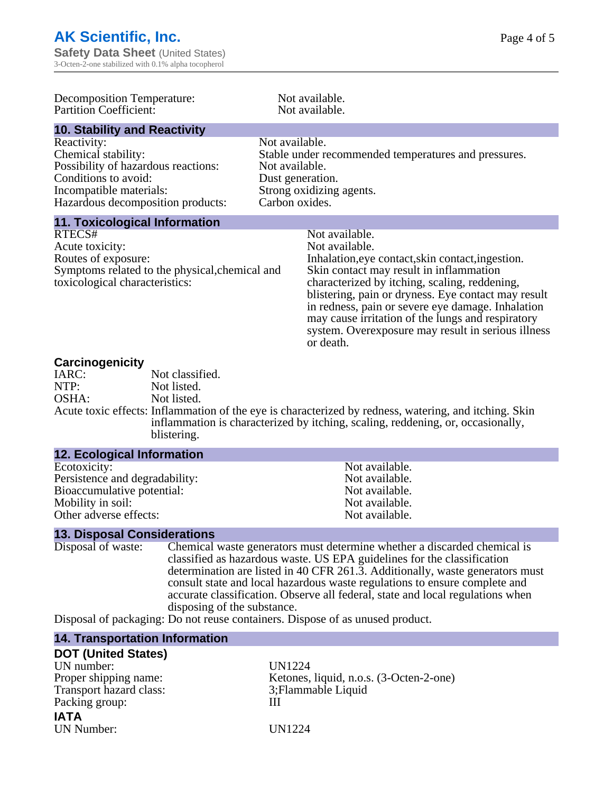| <b>Decomposition Temperature:</b><br><b>Partition Coefficient:</b>                                                                                                |                                                                        | Not available.<br>Not available.                                                                                                                                                                                                                                                                                                                                                                                      |
|-------------------------------------------------------------------------------------------------------------------------------------------------------------------|------------------------------------------------------------------------|-----------------------------------------------------------------------------------------------------------------------------------------------------------------------------------------------------------------------------------------------------------------------------------------------------------------------------------------------------------------------------------------------------------------------|
| <b>10. Stability and Reactivity</b>                                                                                                                               |                                                                        |                                                                                                                                                                                                                                                                                                                                                                                                                       |
| Reactivity:<br>Chemical stability:<br>Possibility of hazardous reactions:<br>Conditions to avoid:<br>Incompatible materials:<br>Hazardous decomposition products: | Not available.<br>Not available.<br>Dust generation.<br>Carbon oxides. | Stable under recommended temperatures and pressures.<br>Strong oxidizing agents.                                                                                                                                                                                                                                                                                                                                      |
| <b>11. Toxicological Information</b>                                                                                                                              |                                                                        |                                                                                                                                                                                                                                                                                                                                                                                                                       |
| RTECS#<br>Acute toxicity:<br>Routes of exposure:<br>Symptoms related to the physical, chemical and<br>toxicological characteristics:                              |                                                                        | Not available.<br>Not available.<br>Inhalation, eye contact, skin contact, ingestion.<br>Skin contact may result in inflammation<br>characterized by itching, scaling, reddening,<br>blistering, pain or dryness. Eye contact may result<br>in redness, pain or severe eye damage. Inhalation<br>may cause irritation of the lungs and respiratory<br>system. Overexposure may result in serious illness<br>or death. |

#### **Carcinogenicity**

| <u>saron isayi non v</u> |                                                                                                       |
|--------------------------|-------------------------------------------------------------------------------------------------------|
| IARC:                    | Not classified.                                                                                       |
| NTP:                     | Not listed.                                                                                           |
| OSHA:                    | Not listed.                                                                                           |
|                          | Acute toxic effects: Inflammation of the eye is characterized by redness, watering, and itching. Skin |
|                          | inflammation is characterized by itching, scaling, reddening, or, occasionally,                       |
|                          | blistering.                                                                                           |

| <b>12. Ecological Information</b> |                |
|-----------------------------------|----------------|
| Ecotoxicity:                      | Not available. |
| Persistence and degradability:    | Not available. |
| Bioaccumulative potential:        | Not available. |
| Mobility in soil:                 | Not available. |
| Other adverse effects:            | Not available. |

# **13. Disposal Considerations**

| Disposal of waste: | Chemical waste generators must determine whether a discarded chemical is                                                                                                                                                                                                                         |
|--------------------|--------------------------------------------------------------------------------------------------------------------------------------------------------------------------------------------------------------------------------------------------------------------------------------------------|
|                    | classified as hazardous waste. US EPA guidelines for the classification                                                                                                                                                                                                                          |
|                    | determination are listed in 40 CFR 261.3. Additionally, waste generators must                                                                                                                                                                                                                    |
|                    | consult state and local hazardous waste regulations to ensure complete and                                                                                                                                                                                                                       |
|                    | accurate classification. Observe all federal, state and local regulations when                                                                                                                                                                                                                   |
|                    | disposing of the substance.                                                                                                                                                                                                                                                                      |
| $\mathbf{r}$ .     | $\mathbf{R}$ and $\mathbf{R}$ and $\mathbf{R}$ and $\mathbf{R}$ and $\mathbf{R}$ and $\mathbf{R}$ and $\mathbf{R}$ and $\mathbf{R}$ and $\mathbf{R}$ and $\mathbf{R}$ and $\mathbf{R}$ and $\mathbf{R}$ and $\mathbf{R}$ and $\mathbf{R}$ and $\mathbf{R}$ and $\mathbf{R}$ and $\mathbf{R}$ and |

Disposal of packaging: Do not reuse containers. Dispose of as unused product.

| <b>14. Transportation Information</b> |                                         |
|---------------------------------------|-----------------------------------------|
| <b>DOT (United States)</b>            |                                         |
| UN number:                            | <b>UN1224</b>                           |
| Proper shipping name:                 | Ketones, liquid, n.o.s. (3-Octen-2-one) |
| Transport hazard class:               | 3; Flammable Liquid                     |
| Packing group:                        |                                         |
| <b>IATA</b>                           |                                         |
| <b>UN Number:</b>                     | UN1224                                  |